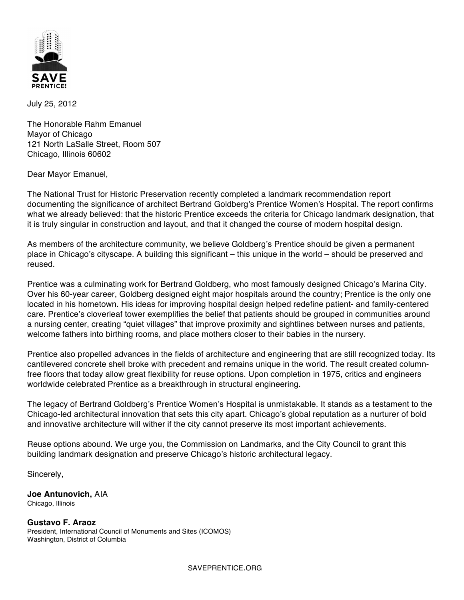

July 25, 2012

The Honorable Rahm Emanuel Mayor of Chicago 121 North LaSalle Street, Room 507 Chicago, Illinois 60602

Dear Mayor Emanuel,

The National Trust for Historic Preservation recently completed a landmark recommendation report documenting the significance of architect Bertrand Goldberg's Prentice Women's Hospital. The report confirms what we already believed: that the historic Prentice exceeds the criteria for Chicago landmark designation, that it is truly singular in construction and layout, and that it changed the course of modern hospital design.

As members of the architecture community, we believe Goldberg's Prentice should be given a permanent place in Chicago's cityscape. A building this significant – this unique in the world – should be preserved and reused.

Prentice was a culminating work for Bertrand Goldberg, who most famously designed Chicago's Marina City. Over his 60-year career, Goldberg designed eight major hospitals around the country; Prentice is the only one located in his hometown. His ideas for improving hospital design helped redefine patient- and family-centered care. Prentice's cloverleaf tower exemplifies the belief that patients should be grouped in communities around a nursing center, creating "quiet villages" that improve proximity and sightlines between nurses and patients, welcome fathers into birthing rooms, and place mothers closer to their babies in the nursery.

Prentice also propelled advances in the fields of architecture and engineering that are still recognized today. Its cantilevered concrete shell broke with precedent and remains unique in the world. The result created columnfree floors that today allow great flexibility for reuse options. Upon completion in 1975, critics and engineers worldwide celebrated Prentice as a breakthrough in structural engineering.

The legacy of Bertrand Goldberg's Prentice Women's Hospital is unmistakable. It stands as a testament to the Chicago-led architectural innovation that sets this city apart. Chicago's global reputation as a nurturer of bold and innovative architecture will wither if the city cannot preserve its most important achievements.

Reuse options abound. We urge you, the Commission on Landmarks, and the City Council to grant this building landmark designation and preserve Chicago's historic architectural legacy.

Sincerely,

**Joe Antunovich,** AIA Chicago, Illinois

**Gustavo F. Araoz** President, International Council of Monuments and Sites (ICOMOS) Washington, District of Columbia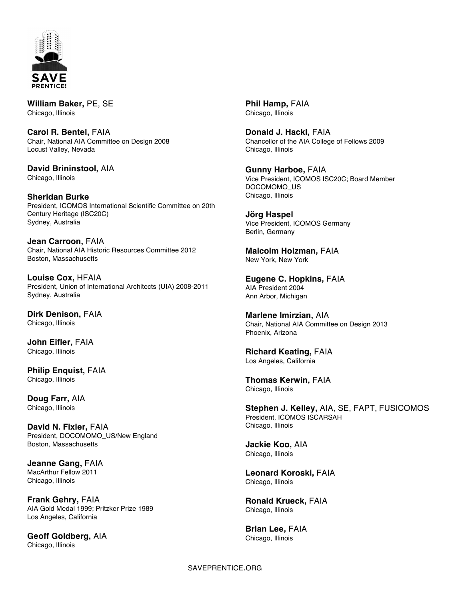

**William Baker,** PE, SE Chicago, Illinois

**Carol R. Bentel,** FAIA Chair, National AIA Committee on Design 2008 Locust Valley, Nevada

**David Brininstool,** AIA Chicago, Illinois

**Sheridan Burke** President, ICOMOS International Scientific Committee on 20th Century Heritage (ISC20C) Sydney, Australia

**Jean Carroon,** FAIA Chair, National AIA Historic Resources Committee 2012 Boston, Massachusetts

**Louise Cox,** HFAIA President, Union of International Architects (UIA) 2008-2011 Sydney, Australia

**Dirk Denison,** FAIA Chicago, Illinois

**John Eifler,** FAIA Chicago, Illinois

**Philip Enquist,** FAIA Chicago, Illinois

**Doug Farr,** AIA Chicago, Illinois

**David N. Fixler,** FAIA President, DOCOMOMO\_US/New England Boston, Massachusetts

**Jeanne Gang,** FAIA MacArthur Fellow 2011 Chicago, Illinois

**Frank Gehry,** FAIA AIA Gold Medal 1999; Pritzker Prize 1989 Los Angeles, California

**Geoff Goldberg,** AIA Chicago, Illinois

**Phil Hamp,** FAIA Chicago, Illinois

**Donald J. Hackl,** FAIA Chancellor of the AIA College of Fellows 2009 Chicago, Illinois

**Gunny Harboe,** FAIA Vice President, ICOMOS ISC20C; Board Member DOCOMOMO\_US Chicago, Illinois

**Jörg Haspel** Vice President, ICOMOS Germany Berlin, Germany

**Malcolm Holzman,** FAIA New York, New York

**Eugene C. Hopkins,** FAIA AIA President 2004 Ann Arbor, Michigan

**Marlene Imirzian,** AIA Chair, National AIA Committee on Design 2013 Phoenix, Arizona

**Richard Keating,** FAIA Los Angeles, California

**Thomas Kerwin,** FAIA Chicago, Illinois

**Stephen J. Kelley,** AIA, SE, FAPT, FUSICOMOS President, ICOMOS ISCARSAH Chicago, Illinois

**Jackie Koo,** AIA Chicago, Illinois

**Leonard Koroski,** FAIA Chicago, Illinois

**Ronald Krueck,** FAIA Chicago, Illinois

**Brian Lee,** FAIA Chicago, Illinois

## SAVEPRENTICE.ORG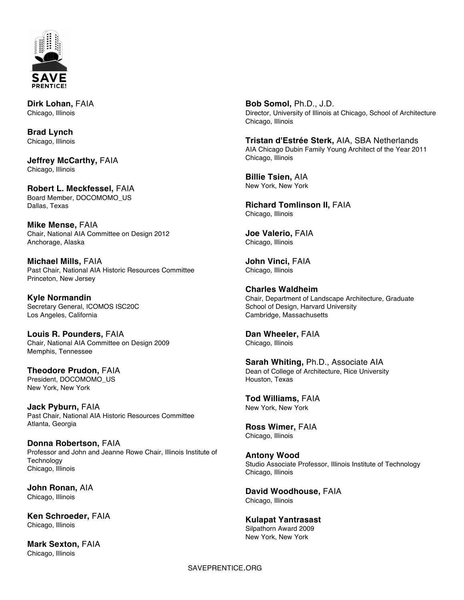

**Dirk Lohan,** FAIA Chicago, Illinois

**Brad Lynch** Chicago, Illinois

**Jeffrey McCarthy,** FAIA Chicago, Illinois

**Robert L. Meckfessel,** FAIA Board Member, DOCOMOMO\_US Dallas, Texas

**Mike Mense,** FAIA Chair, National AIA Committee on Design 2012 Anchorage, Alaska

**Michael Mills,** FAIA Past Chair, National AIA Historic Resources Committee Princeton, New Jersey

**Kyle Normandin** Secretary General, ICOMOS ISC20C Los Angeles, California

**Louis R. Pounders,** FAIA Chair, National AIA Committee on Design 2009 Memphis, Tennessee

**Theodore Prudon,** FAIA President, DOCOMOMO\_US New York, New York

**Jack Pyburn,** FAIA Past Chair, National AIA Historic Resources Committee Atlanta, Georgia

**Donna Robertson,** FAIA Professor and John and Jeanne Rowe Chair, Illinois Institute of Technology Chicago, Illinois

**John Ronan,** AIA Chicago, Illinois

**Ken Schroeder,** FAIA Chicago, Illinois

**Mark Sexton,** FAIA Chicago, Illinois

**Bob Somol,** Ph.D., J.D. Director, University of Illinois at Chicago, School of Architecture Chicago, Illinois

**Tristan d'Estrée Sterk,** AIA, SBA Netherlands AIA Chicago Dubin Family Young Architect of the Year 2011 Chicago, Illinois

**Billie Tsien,** AIA New York, New York

**Richard Tomlinson II,** FAIA Chicago, Illinois

**Joe Valerio,** FAIA Chicago, Illinois

**John Vinci,** FAIA Chicago, Illinois

**Charles Waldheim** Chair, Department of Landscape Architecture, Graduate School of Design, Harvard University Cambridge, Massachusetts

**Dan Wheeler,** FAIA Chicago, Illinois

**Sarah Whiting,** Ph.D., Associate AIA Dean of College of Architecture, Rice University Houston, Texas

**Tod Williams,** FAIA New York, New York

**Ross Wimer,** FAIA Chicago, Illinois

**Antony Wood** Studio Associate Professor, Illinois Institute of Technology Chicago, Illinois

**David Woodhouse,** FAIA Chicago, Illinois

**Kulapat Yantrasast** Silpathorn Award 2009 New York, New York

SAVEPRENTICE.ORG